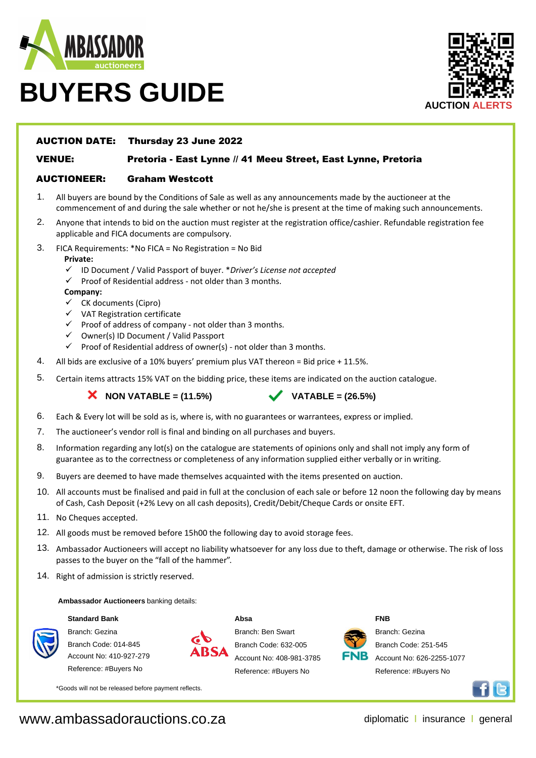

# **BUYERS GUIDE**



#### AUCTION DATE: Thursday 23 June 2022

VENUE:

### Pretoria - East Lynne // 41 Meeu Street, East Lynne, Pretoria

### AUCTIONEER: Graham Westcott

- 1. All buyers are bound by the Conditions of Sale as well as any announcements made by the auctioneer at the commencement of and during the sale whether or not he/she is present at the time of making such announcements.
- 2. Anyone that intends to bid on the auction must register at the registration office/cashier. Refundable registration fee applicable and FICA documents are compulsory.
- 3. FICA Requirements: \*No FICA = No Registration = No Bid

#### **Private:**

- ü ID Document / Valid Passport of buyer. \**Driver's License not accepted*
- $\checkmark$  Proof of Residential address not older than 3 months.

#### **Company:**

- $\checkmark$  CK documents (Cipro)
- $V$  VAT Registration certificate
- $\checkmark$  Proof of address of company not older than 3 months.
- $\checkmark$  Owner(s) ID Document / Valid Passport
- $\checkmark$  Proof of Residential address of owner(s) not older than 3 months.
- 4. All bids are exclusive of a 10% buyers' premium plus VAT thereon = Bid price + 11.5%.
- 5. Certain items attracts 15% VAT on the bidding price, these items are indicated on the auction catalogue.

**X** NON VATABLE =  $(11.5\%)$  **VATABLE** =  $(26.5\%)$ 

- 6. Each & Every lot will be sold as is, where is, with no guarantees or warrantees, express or implied.
- 7. The auctioneer's vendor roll is final and binding on all purchases and buyers.
- 8. Information regarding any lot(s) on the catalogue are statements of opinions only and shall not imply any form of guarantee as to the correctness or completeness of any information supplied either verbally or in writing.
- 9. Buyers are deemed to have made themselves acquainted with the items presented on auction.
- 10. All accounts must be finalised and paid in full at the conclusion of each sale or before 12 noon the following day by means of Cash, Cash Deposit (+2% Levy on all cash deposits), Credit/Debit/Cheque Cards or onsite EFT.
- 11. No Cheques accepted.
- 12. All goods must be removed before 15h00 the following day to avoid storage fees.
- 13. Ambassador Auctioneers will accept no liability whatsoever for any loss due to theft, damage or otherwise. The risk of loss passes to the buyer on the "fall of the hammer".

**Absa**

14. Right of admission is strictly reserved.

#### **Ambassador Auctioneers** banking details:

#### **Standard Bank**



Branch: Gezina Branch Code: 014-845 Account No: 410-927-279

Reference: #Buyers No



Branch: Ben Swart Branch Code: 632-005 Account No: 408-981-3785 Reference: #Buyers No



**FNB**

Branch: Gezina

Branch Code: 251-545 Account No: 626-2255-1077 Reference: #Buyers No



\*Goods will not be released before payment reflects.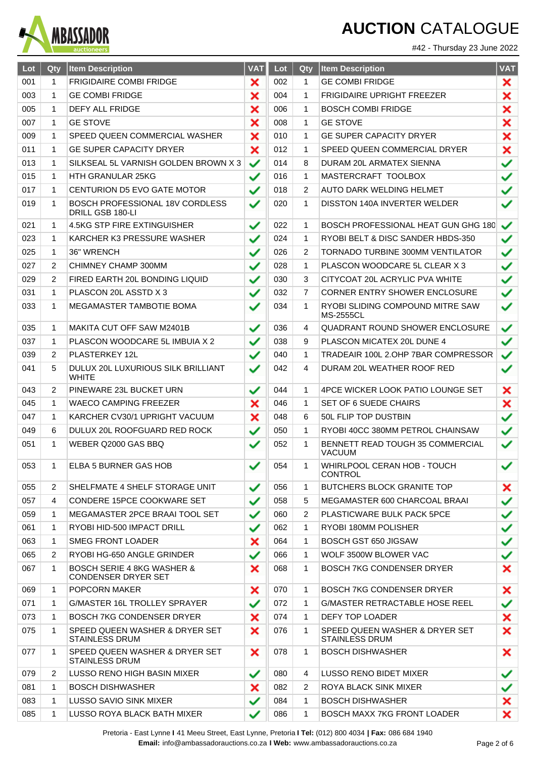

#42 - Thursday 23 June 2022

| Lot | Qty            | <b>Item Description</b>                                             | <b>VAT</b>   | Lot | Qty            | <b>Item Description</b>                                 | <b>VAT</b>   |
|-----|----------------|---------------------------------------------------------------------|--------------|-----|----------------|---------------------------------------------------------|--------------|
| 001 | 1              | <b>FRIGIDAIRE COMBI FRIDGE</b>                                      | ×            | 002 | $\mathbf{1}$   | <b>GE COMBI FRIDGE</b>                                  | ×            |
| 003 | 1              | <b>GE COMBI FRIDGE</b>                                              | ×            | 004 | 1              | <b>FRIGIDAIRE UPRIGHT FREEZER</b>                       | ×            |
| 005 | 1              | <b>DEFY ALL FRIDGE</b>                                              | ×            | 006 | 1              | <b>BOSCH COMBI FRIDGE</b>                               | ×            |
| 007 | 1              | <b>GE STOVE</b>                                                     | ×            | 008 | 1              | <b>GE STOVE</b>                                         | ×            |
| 009 | 1              | SPEED QUEEN COMMERCIAL WASHER                                       | ×            | 010 | 1              | <b>GE SUPER CAPACITY DRYER</b>                          | ×            |
| 011 | 1              | <b>GE SUPER CAPACITY DRYER</b>                                      | ×            | 012 | 1              | SPEED QUEEN COMMERCIAL DRYER                            | ×            |
| 013 | 1              | SILKSEAL 5L VARNISH GOLDEN BROWN X 3                                | ✓            | 014 | 8              | DURAM 20L ARMATEX SIENNA                                | ✓            |
| 015 | 1              | HTH GRANULAR 25KG                                                   | $\checkmark$ | 016 | 1              | MASTERCRAFT TOOLBOX                                     | ✓            |
| 017 | 1              | <b>CENTURION D5 EVO GATE MOTOR</b>                                  | ✓            | 018 | 2              | AUTO DARK WELDING HELMET                                | ✓            |
| 019 | 1              | BOSCH PROFESSIONAL 18V CORDLESS<br>DRILL GSB 180-LI                 | $\checkmark$ | 020 | 1              | DISSTON 140A INVERTER WELDER                            | ✓            |
| 021 | 1              | 4.5KG STP FIRE EXTINGUISHER                                         | ✓            | 022 | 1              | <b>BOSCH PROFESSIONAL HEAT GUN GHG 180</b>              | ✓            |
| 023 | 1              | KARCHER K3 PRESSURE WASHER                                          | ✓            | 024 | 1              | RYOBI BELT & DISC SANDER HBDS-350                       | ✓            |
| 025 | 1              | 36" WRENCH                                                          | ✓            | 026 | 2              | TORNADO TURBINE 300MM VENTILATOR                        | ✓            |
| 027 | 2              | CHIMNEY CHAMP 300MM                                                 | ✓            | 028 | 1              | PLASCON WOODCARE 5L CLEAR X 3                           | ✓            |
| 029 | 2              | FIRED EARTH 20L BONDING LIQUID                                      | ✓            | 030 | 3              | CITYCOAT 20L ACRYLIC PVA WHITE                          | ✓            |
| 031 | 1              | PLASCON 20L ASSTD X 3                                               | ✓            | 032 | $\overline{7}$ | <b>CORNER ENTRY SHOWER ENCLOSURE</b>                    | ✓            |
| 033 | 1              | MEGAMASTER TAMBOTIE BOMA                                            | ✓            | 034 | 1              | RYOBI SLIDING COMPOUND MITRE SAW<br><b>MS-2555CL</b>    | ✓            |
| 035 | 1              | MAKITA CUT OFF SAW M2401B                                           | $\checkmark$ | 036 | 4              | <b>QUADRANT ROUND SHOWER ENCLOSURE</b>                  | ✓            |
| 037 | 1              | PLASCON WOODCARE 5L IMBUIA X 2                                      | ✓            | 038 | 9              | PLASCON MICATEX 20L DUNE 4                              | ✓            |
| 039 | 2              | PLASTERKEY 12L                                                      |              | 040 | 1              | TRADEAIR 100L 2.OHP 7BAR COMPRESSOR                     | ✓            |
| 041 | 5              | DULUX 20L LUXURIOUS SILK BRILLIANT<br><b>WHITE</b>                  | ✓            | 042 | 4              | DURAM 20L WEATHER ROOF RED                              | ✓            |
| 043 | $\overline{2}$ | PINEWARE 23L BUCKET URN                                             | ✓            | 044 | 1              | 4PCE WICKER LOOK PATIO LOUNGE SET                       | ×            |
| 045 | 1              | WAECO CAMPING FREEZER                                               | ×            | 046 | 1              | SET OF 6 SUEDE CHAIRS                                   | ×            |
| 047 | 1              | KARCHER CV30/1 UPRIGHT VACUUM                                       | ×            | 048 | 6              | 50L FLIP TOP DUSTBIN                                    | ✓            |
| 049 | 6              | DULUX 20L ROOFGUARD RED ROCK                                        | ✓            | 050 | 1              | RYOBI 40CC 380MM PETROL CHAINSAW                        | $\checkmark$ |
| 051 | 1              | WEBER Q2000 GAS BBQ                                                 | ✓            | 052 | 1              | BENNETT READ TOUGH 35 COMMERCIAL<br><b>VACUUM</b>       | ✓            |
| 053 | 1              | ELBA 5 BURNER GAS HOB                                               | ✓            | 054 | $\mathbf{1}$   | WHIRLPOOL CERAN HOB - TOUCH<br><b>CONTROL</b>           | ✓            |
| 055 | 2              | SHELFMATE 4 SHELF STORAGE UNIT                                      | ✓            | 056 | 1              | <b>BUTCHERS BLOCK GRANITE TOP</b>                       | ×            |
| 057 | 4              | CONDERE 15PCE COOKWARE SET                                          | ✓            | 058 | 5              | MEGAMASTER 600 CHARCOAL BRAAI                           | ✓            |
| 059 | 1              | MEGAMASTER 2PCE BRAAI TOOL SET                                      | ✓            | 060 | 2              | PLASTICWARE BULK PACK 5PCE                              | ✓            |
| 061 | 1              | RYOBI HID-500 IMPACT DRILL                                          | ✓            | 062 | 1              | RYOBI 180MM POLISHER                                    | ✓            |
| 063 | 1              | <b>SMEG FRONT LOADER</b>                                            | ×            | 064 | 1.             | <b>BOSCH GST 650 JIGSAW</b>                             | ✓            |
| 065 | 2              | RYOBI HG-650 ANGLE GRINDER                                          | ✓            | 066 | 1              | WOLF 3500W BLOWER VAC                                   | ✓            |
| 067 | 1              | <b>BOSCH SERIE 4 8KG WASHER &amp;</b><br><b>CONDENSER DRYER SET</b> | ×            | 068 | 1.             | <b>BOSCH 7KG CONDENSER DRYER</b>                        | ×            |
| 069 | 1              | POPCORN MAKER                                                       | ×            | 070 | 1              | <b>BOSCH 7KG CONDENSER DRYER</b>                        | ×            |
| 071 | 1              | G/MASTER 16L TROLLEY SPRAYER                                        | ✓            | 072 | 1              | G/MASTER RETRACTABLE HOSE REEL                          | ✓            |
| 073 | 1              | <b>BOSCH 7KG CONDENSER DRYER</b>                                    | ×            | 074 | 1              | DEFY TOP LOADER                                         | ×            |
| 075 | 1              | SPEED QUEEN WASHER & DRYER SET<br><b>STAINLESS DRUM</b>             | ×            | 076 | 1              | SPEED QUEEN WASHER & DRYER SET<br><b>STAINLESS DRUM</b> | ×            |
| 077 | 1              | SPEED QUEEN WASHER & DRYER SET<br><b>STAINLESS DRUM</b>             | ×            | 078 | 1.             | <b>BOSCH DISHWASHER</b>                                 | ×            |
| 079 | 2              | LUSSO RENO HIGH BASIN MIXER                                         | ✓            | 080 | 4              | <b>LUSSO RENO BIDET MIXER</b>                           | ✓            |
| 081 | 1              | BOSCH DISHWASHER                                                    | ×            | 082 | 2              | ROYA BLACK SINK MIXER                                   | ✓            |
| 083 | 1              | LUSSO SAVIO SINK MIXER                                              | ✓            | 084 | 1.             | <b>BOSCH DISHWASHER</b>                                 | ×            |
| 085 | 1              | LUSSO ROYA BLACK BATH MIXER                                         |              | 086 | 1.             | <b>BOSCH MAXX 7KG FRONT LOADER</b>                      | ×            |

Pretoria - East Lynne **I** 41 Meeu Street, East Lynne, Pretoria **I Tel:** (012) 800 4034 **| Fax:** 086 684 1940 **Email:** info@ambassadorauctions.co.za **I Web:** www.ambassadorauctions.co.za Page 2 of 6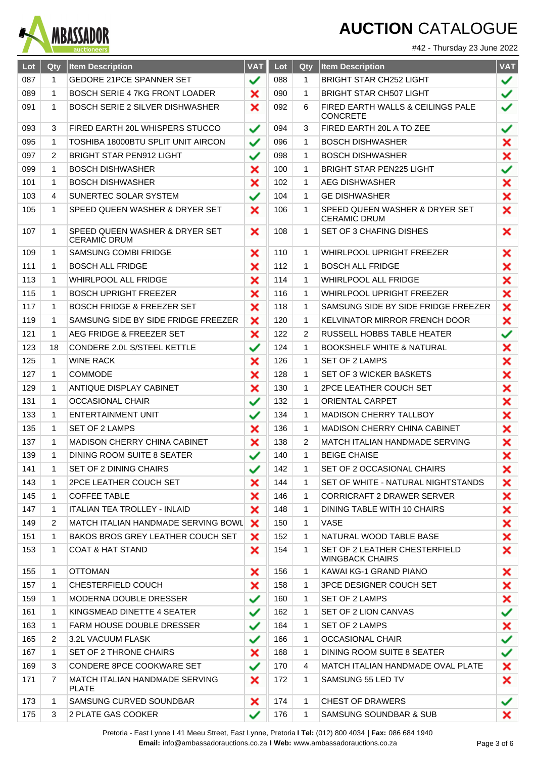

#42 - Thursday 23 June 2022

| Lot | Qty          | <b>Item Description</b>                               | <b>VAT</b>   | Lot | Qty          | <b>Item Description</b>                                 | <b>VAT</b> |
|-----|--------------|-------------------------------------------------------|--------------|-----|--------------|---------------------------------------------------------|------------|
| 087 | $\mathbf{1}$ | GEDORE 21PCE SPANNER SET                              | ✓            | 088 | 1            | <b>BRIGHT STAR CH252 LIGHT</b>                          | ✓          |
| 089 | 1            | <b>BOSCH SERIE 4 7KG FRONT LOADER</b>                 | ×            | 090 | 1            | <b>BRIGHT STAR CH507 LIGHT</b>                          | ✓          |
| 091 | 1            | <b>BOSCH SERIE 2 SILVER DISHWASHER</b>                | ×            | 092 | 6            | FIRED EARTH WALLS & CEILINGS PALE<br><b>CONCRETE</b>    | ✓          |
| 093 | 3            | FIRED EARTH 20L WHISPERS STUCCO                       | ✓            | 094 | 3            | FIRED EARTH 20L A TO ZEE                                | ✓          |
| 095 | 1            | TOSHIBA 18000BTU SPLIT UNIT AIRCON                    | ✓            | 096 | $\mathbf 1$  | <b>BOSCH DISHWASHER</b>                                 | ×          |
| 097 | 2            | <b>BRIGHT STAR PEN912 LIGHT</b>                       | ✓            | 098 | 1            | <b>BOSCH DISHWASHER</b>                                 | ×          |
| 099 | 1            | <b>BOSCH DISHWASHER</b>                               | ×            | 100 | 1            | <b>BRIGHT STAR PEN225 LIGHT</b>                         | ✓          |
| 101 | 1            | <b>BOSCH DISHWASHER</b>                               | ×            | 102 | 1            | <b>AEG DISHWASHER</b>                                   | ×          |
| 103 | 4            | SUNERTEC SOLAR SYSTEM                                 | ✓            | 104 | $\mathbf 1$  | <b>GE DISHWASHER</b>                                    | ×          |
| 105 | 1            | SPEED QUEEN WASHER & DRYER SET                        | ×            | 106 | 1            | SPEED QUEEN WASHER & DRYER SET<br><b>CERAMIC DRUM</b>   | ×          |
| 107 | 1            | SPEED QUEEN WASHER & DRYER SET<br><b>CERAMIC DRUM</b> | ×            | 108 | $\mathbf 1$  | <b>SET OF 3 CHAFING DISHES</b>                          | ×          |
| 109 | 1            | <b>SAMSUNG COMBI FRIDGE</b>                           | ×            | 110 | 1            | <b>WHIRLPOOL UPRIGHT FREEZER</b>                        | ×          |
| 111 | 1            | <b>BOSCH ALL FRIDGE</b>                               | ×            | 112 | $\mathbf{1}$ | <b>BOSCH ALL FRIDGE</b>                                 | ×          |
| 113 | 1            | <b>WHIRLPOOL ALL FRIDGE</b>                           | ×            | 114 | 1            | <b>WHIRLPOOL ALL FRIDGE</b>                             | ×          |
| 115 | 1            | <b>BOSCH UPRIGHT FREEZER</b>                          | ×            | 116 | $\mathbf 1$  | <b>WHIRLPOOL UPRIGHT FREEZER</b>                        | ×          |
| 117 | 1            | <b>BOSCH FRIDGE &amp; FREEZER SET</b>                 | ×            | 118 | 1            | SAMSUNG SIDE BY SIDE FRIDGE FREEZER                     | ×          |
| 119 | 1            | SAMSUNG SIDE BY SIDE FRIDGE FREEZER                   | ×            | 120 | $\mathbf{1}$ | <b>KELVINATOR MIRROR FRENCH DOOR</b>                    | ×          |
| 121 | 1            | AEG FRIDGE & FREEZER SET                              | ×            | 122 | 2            | RUSSELL HOBBS TABLE HEATER                              | ✓          |
| 123 | 18           | CONDERE 2.0L S/STEEL KETTLE                           | ✓            | 124 | $\mathbf 1$  | <b>BOOKSHELF WHITE &amp; NATURAL</b>                    | ×          |
| 125 | 1            | WINE RACK                                             | ×            | 126 | 1            | SET OF 2 LAMPS                                          | ×          |
| 127 | 1            | <b>COMMODE</b>                                        | ×            | 128 | $\mathbf 1$  | <b>SET OF 3 WICKER BASKETS</b>                          | ×          |
| 129 | 1            | ANTIQUE DISPLAY CABINET                               | ×            | 130 | 1            | <b>2PCE LEATHER COUCH SET</b>                           | ×          |
| 131 | 1            | <b>OCCASIONAL CHAIR</b>                               | $\checkmark$ | 132 | $\mathbf 1$  | <b>ORIENTAL CARPET</b>                                  | ×          |
| 133 | 1            | <b>ENTERTAINMENT UNIT</b>                             | ✓            | 134 | 1            | <b>MADISON CHERRY TALLBOY</b>                           | ×          |
| 135 | 1            | <b>SET OF 2 LAMPS</b>                                 | ×            | 136 | $\mathbf{1}$ | MADISON CHERRY CHINA CABINET                            | ×          |
| 137 | 1            | <b>MADISON CHERRY CHINA CABINET</b>                   | ×            | 138 | 2            | MATCH ITALIAN HANDMADE SERVING                          | ×          |
| 139 | 1            | <b>DINING ROOM SUITE 8 SEATER</b>                     |              | 140 | $\mathbf 1$  | <b>BEIGE CHAISE</b>                                     | ×          |
| 141 | 1            | SET OF 2 DINING CHAIRS                                | ✓            | 142 | 1            | SET OF 2 OCCASIONAL CHAIRS                              | ×          |
| 143 | 1            | 2PCE LEATHER COUCH SET                                | ×            | 144 | 1            | SET OF WHITE - NATURAL NIGHTSTANDS                      | ×          |
| 145 | 1            | <b>COFFEE TABLE</b>                                   | ×            | 146 | 1            | CORRICRAFT 2 DRAWER SERVER                              | ×          |
| 147 | 1            | <b>ITALIAN TEA TROLLEY - INLAID</b>                   | ×            | 148 | 1            | DINING TABLE WITH 10 CHAIRS                             | ×          |
| 149 | 2            | MATCH ITALIAN HANDMADE SERVING BOWL                   | ×            | 150 | 1            | VASE                                                    | ×          |
| 151 | 1            | BAKOS BROS GREY LEATHER COUCH SET                     | ×            | 152 | 1            | NATURAL WOOD TABLE BASE                                 | ×          |
| 153 | 1            | COAT & HAT STAND                                      | ×            | 154 | 1            | SET OF 2 LEATHER CHESTERFIELD<br><b>WINGBACK CHAIRS</b> | ×          |
| 155 | 1            | <b>OTTOMAN</b>                                        | ×            | 156 | 1            | KAWAI KG-1 GRAND PIANO                                  | ×          |
| 157 | 1            | CHESTERFIELD COUCH                                    | ×            | 158 | 1            | <b>3PCE DESIGNER COUCH SET</b>                          | ×          |
| 159 | 1            | <b>MODERNA DOUBLE DRESSER</b>                         | ✓            | 160 | 1            | SET OF 2 LAMPS                                          | ×          |
| 161 | 1            | KINGSMEAD DINETTE 4 SEATER                            | ✓            | 162 | 1            | SET OF 2 LION CANVAS                                    | ✓          |
| 163 | 1            | FARM HOUSE DOUBLE DRESSER                             | ✓            | 164 | 1            | SET OF 2 LAMPS                                          | ×          |
| 165 | 2            | 3.2L VACUUM FLASK                                     | ✓            | 166 | 1            | <b>OCCASIONAL CHAIR</b>                                 | ✓          |
| 167 | 1            | SET OF 2 THRONE CHAIRS                                | ×            | 168 | 1            | DINING ROOM SUITE 8 SEATER                              | ✓          |
| 169 | 3            | CONDERE 8PCE COOKWARE SET                             | ✓            | 170 | 4            | MATCH ITALIAN HANDMADE OVAL PLATE                       | ×          |
| 171 | 7            | MATCH ITALIAN HANDMADE SERVING<br><b>PLATE</b>        | ×            | 172 | 1            | SAMSUNG 55 LED TV                                       | ×          |
| 173 | 1            | SAMSUNG CURVED SOUNDBAR                               | ×            | 174 | 1            | <b>CHEST OF DRAWERS</b>                                 | ✓          |
| 175 | 3            | 2 PLATE GAS COOKER                                    |              | 176 | 1            | SAMSUNG SOUNDBAR & SUB                                  | ×          |

Pretoria - East Lynne **I** 41 Meeu Street, East Lynne, Pretoria **I Tel:** (012) 800 4034 **| Fax:** 086 684 1940 **Email:** info@ambassadorauctions.co.za **I Web:** www.ambassadorauctions.co.za Page 3 of 6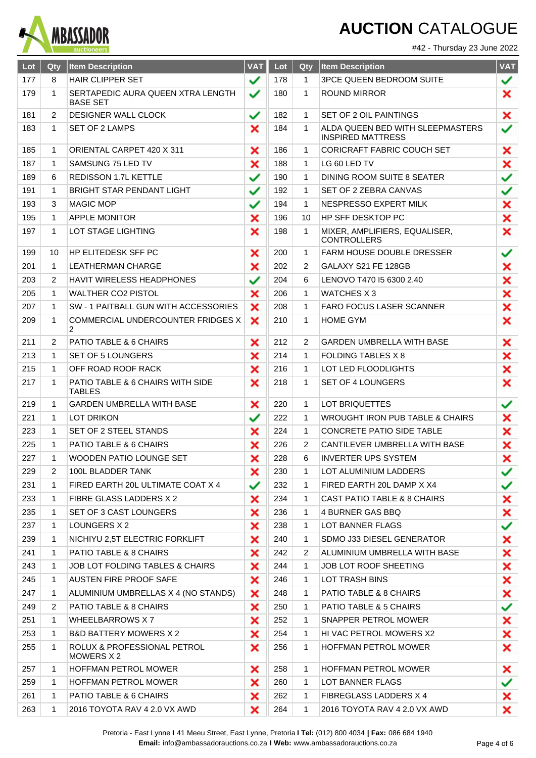

#42 - Thursday 23 June 2022

| Lot | Qty          | <b>Item Description</b>                              | <b>VAT</b>   | Lot | Qty          | <b>Item Description</b>                                      | <b>VAT</b> |
|-----|--------------|------------------------------------------------------|--------------|-----|--------------|--------------------------------------------------------------|------------|
| 177 | 8            | <b>HAIR CLIPPER SET</b>                              | ✓            | 178 | $\mathbf{1}$ | <b>3PCE QUEEN BEDROOM SUITE</b>                              | ✓          |
| 179 | 1            | SERTAPEDIC AURA QUEEN XTRA LENGTH<br><b>BASE SET</b> | ✓            | 180 | $\mathbf{1}$ | <b>ROUND MIRROR</b>                                          | ×          |
| 181 | 2            | <b>DESIGNER WALL CLOCK</b>                           | ✓            | 182 | 1            | <b>SET OF 2 OIL PAINTINGS</b>                                | ×          |
| 183 | $\mathbf{1}$ | SET OF 2 LAMPS                                       | ×            | 184 | 1            | ALDA QUEEN BED WITH SLEEPMASTERS<br><b>INSPIRED MATTRESS</b> | ✓          |
| 185 | 1            | ORIENTAL CARPET 420 X 311                            | ×            | 186 | $\mathbf{1}$ | CORICRAFT FABRIC COUCH SET                                   | ×          |
| 187 | $\mathbf 1$  | SAMSUNG 75 LED TV                                    | ×            | 188 | 1            | LG 60 LED TV                                                 | ×          |
| 189 | 6            | REDISSON 1.7L KETTLE                                 | ✓            | 190 | 1            | DINING ROOM SUITE 8 SEATER                                   | ✓          |
| 191 | $\mathbf{1}$ | BRIGHT STAR PENDANT LIGHT                            | $\checkmark$ | 192 | 1            | SET OF 2 ZEBRA CANVAS                                        | ✓          |
| 193 | 3            | <b>MAGIC MOP</b>                                     | ✓            | 194 | 1            | NESPRESSO EXPERT MILK                                        | ×          |
| 195 | 1            | <b>APPLE MONITOR</b>                                 | ×            | 196 | 10           | <b>HP SFF DESKTOP PC</b>                                     | ×          |
| 197 | $\mathbf{1}$ | LOT STAGE LIGHTING                                   | ×            | 198 | 1            | MIXER, AMPLIFIERS, EQUALISER,<br><b>CONTROLLERS</b>          | ×          |
| 199 | 10           | HP ELITEDESK SFF PC                                  | ×            | 200 | 1            | <b>FARM HOUSE DOUBLE DRESSER</b>                             | ✓          |
| 201 | 1            | LEATHERMAN CHARGE                                    | ×            | 202 | 2            | GALAXY S21 FE 128GB                                          | ×          |
| 203 | 2            | <b>HAVIT WIRELESS HEADPHONES</b>                     | ✓            | 204 | 6            | LENOVO T470 15 6300 2.40                                     | ×          |
| 205 | 1            | WALTHER CO2 PISTOL                                   | ×            | 206 | 1            | WATCHES X 3                                                  | ×          |
| 207 | 1            | SW - 1 PAITBALL GUN WITH ACCESSORIES                 | ×            | 208 | $\mathbf 1$  | <b>FARO FOCUS LASER SCANNER</b>                              | ×          |
| 209 | 1            | COMMERCIAL UNDERCOUNTER FRIDGES X<br>$\overline{2}$  | ×            | 210 | 1            | <b>HOME GYM</b>                                              | ×          |
| 211 | 2            | PATIO TABLE & 6 CHAIRS                               | ×            | 212 | 2            | <b>GARDEN UMBRELLA WITH BASE</b>                             | ×          |
| 213 | 1            | <b>SET OF 5 LOUNGERS</b>                             | ×            | 214 | $\mathbf{1}$ | <b>FOLDING TABLES X 8</b>                                    | ×          |
| 215 | 1            | OFF ROAD ROOF RACK                                   | ×            | 216 | 1            | LOT LED FLOODLIGHTS                                          | ×          |
| 217 | 1            | PATIO TABLE & 6 CHAIRS WITH SIDE<br><b>TABLES</b>    | ×            | 218 | 1            | SET OF 4 LOUNGERS                                            | ×          |
| 219 | 1            | <b>GARDEN UMBRELLA WITH BASE</b>                     | ×            | 220 | 1            | LOT BRIQUETTES                                               | ✓          |
| 221 | 1            | LOT DRIKON                                           | ✓            | 222 | 1            | WROUGHT IRON PUB TABLE & CHAIRS                              | ×          |
| 223 | 1            | <b>SET OF 2 STEEL STANDS</b>                         | ×            | 224 | $\mathbf{1}$ | <b>CONCRETE PATIO SIDE TABLE</b>                             | ×          |
| 225 | 1            | PATIO TABLE & 6 CHAIRS                               | ×            | 226 | 2            | CANTILEVER UMBRELLA WITH BASE                                | ×          |
| 227 | 1            | WOODEN PATIO LOUNGE SET                              | ×            | 228 | 6            | <b>INVERTER UPS SYSTEM</b>                                   | ×          |
| 229 | 2            | 100L BLADDER TANK                                    | ×            | 230 | 1            | LOT ALUMINIUM LADDERS                                        | ✓          |
| 231 | 1            | FIRED EARTH 20L ULTIMATE COAT X 4                    | ✓            | 232 | 1            | FIRED EARTH 20L DAMP X X4                                    | ✓          |
| 233 | 1            | FIBRE GLASS LADDERS X 2                              | ×            | 234 | 1            | CAST PATIO TABLE & 8 CHAIRS                                  | ×          |
| 235 | 1            | SET OF 3 CAST LOUNGERS                               | ×            | 236 | 1            | 4 BURNER GAS BBQ                                             | ×          |
| 237 | 1            | LOUNGERS X 2                                         | ×            | 238 | 1            | LOT BANNER FLAGS                                             | ✓          |
| 239 | 1            | NICHIYU 2,5T ELECTRIC FORKLIFT                       | ×            | 240 | 1            | SDMO J33 DIESEL GENERATOR                                    | ×          |
| 241 | 1            | PATIO TABLE & 8 CHAIRS                               | ×            | 242 | 2            | ALUMINIUM UMBRELLA WITH BASE                                 | ×          |
| 243 | 1            | JOB LOT FOLDING TABLES & CHAIRS                      | ×            | 244 | $\mathbf{1}$ | JOB LOT ROOF SHEETING                                        | ×          |
| 245 | 1            | AUSTEN FIRE PROOF SAFE                               | ×            | 246 | 1            | LOT TRASH BINS                                               | ×          |
| 247 | 1            | ALUMINIUM UMBRELLAS X 4 (NO STANDS)                  | ×            | 248 | 1            | PATIO TABLE & 8 CHAIRS                                       | ×          |
| 249 | 2            | PATIO TABLE & 8 CHAIRS                               | ×            | 250 | 1            | PATIO TABLE & 5 CHAIRS                                       | ✓          |
| 251 | 1            | WHEELBARROWS X7                                      | ×            | 252 | 1            | SNAPPER PETROL MOWER                                         | ×          |
| 253 | 1            | <b>B&amp;D BATTERY MOWERS X 2</b>                    | ×            | 254 | 1            | HI VAC PETROL MOWERS X2                                      | ×          |
| 255 | 1            | ROLUX & PROFESSIONAL PETROL<br>MOWERS X 2            | ×            | 256 | 1            | <b>HOFFMAN PETROL MOWER</b>                                  | ×          |
| 257 | 1            | HOFFMAN PETROL MOWER                                 | ×            | 258 | 1            | <b>HOFFMAN PETROL MOWER</b>                                  | ×          |
| 259 | 1            | <b>HOFFMAN PETROL MOWER</b>                          | ×            | 260 | 1            | LOT BANNER FLAGS                                             | ✓          |
| 261 | 1            | PATIO TABLE & 6 CHAIRS                               | ×            | 262 | 1            | FIBREGLASS LADDERS X 4                                       | ×          |
| 263 | 1            | 2016 TOYOTA RAV 4 2.0 VX AWD                         | ×            | 264 | 1            | 2016 TOYOTA RAV 4 2.0 VX AWD                                 | ×          |

Pretoria - East Lynne **I** 41 Meeu Street, East Lynne, Pretoria **I Tel:** (012) 800 4034 **| Fax:** 086 684 1940 **Email:** info@ambassadorauctions.co.za **I Web:** www.ambassadorauctions.co.za Page 4 of 6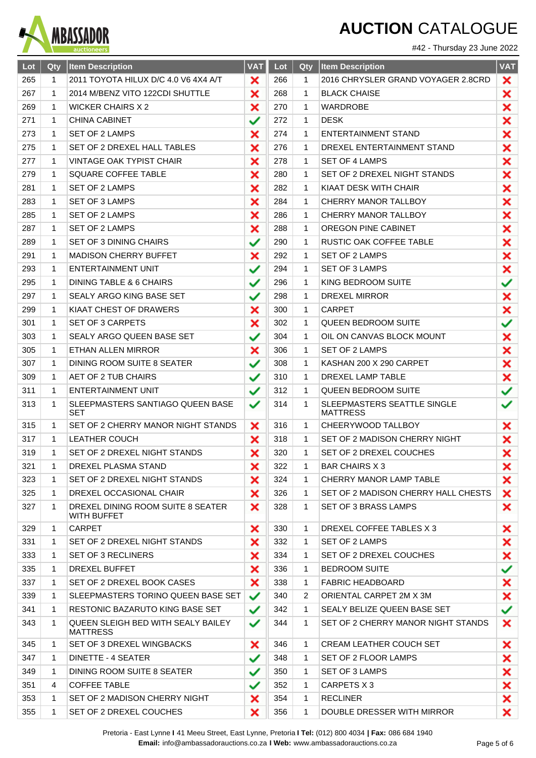

#### #42 - Thursday 23 June 2022

| Lot | Qty          | <b>Item Description</b>                               | <b>VAT</b> | Lot | Qty          | <b>Item Description</b>                        | <b>VAT</b> |
|-----|--------------|-------------------------------------------------------|------------|-----|--------------|------------------------------------------------|------------|
| 265 | $\mathbf 1$  | 2011 TOYOTA HILUX D/C 4.0 V6 4X4 A/T                  | ×          | 266 | $\mathbf{1}$ | 2016 CHRYSLER GRAND VOYAGER 2.8CRD             | ×          |
| 267 | 1            | 2014 M/BENZ VITO 122CDI SHUTTLE                       | ×          | 268 | $\mathbf{1}$ | <b>BLACK CHAISE</b>                            | ×          |
| 269 | 1            | <b>WICKER CHAIRS X 2</b>                              | ×          | 270 | $\mathbf 1$  | <b>WARDROBE</b>                                | ×          |
| 271 | 1            | <b>CHINA CABINET</b>                                  | ✓          | 272 | 1            | <b>DESK</b>                                    | ×          |
| 273 | $\mathbf{1}$ | SET OF 2 LAMPS                                        | ×          | 274 | $\mathbf{1}$ | <b>ENTERTAINMENT STAND</b>                     | ×          |
| 275 | 1            | SET OF 2 DREXEL HALL TABLES                           | ×          | 276 | 1            | DREXEL ENTERTAINMENT STAND                     | ×          |
| 277 | $\mathbf{1}$ | <b>VINTAGE OAK TYPIST CHAIR</b>                       | ×          | 278 | $\mathbf{1}$ | <b>SET OF 4 LAMPS</b>                          | ×          |
| 279 | 1            | <b>SQUARE COFFEE TABLE</b>                            | ×          | 280 | 1            | SET OF 2 DREXEL NIGHT STANDS                   | ×          |
| 281 | $\mathbf{1}$ | SET OF 2 LAMPS                                        | ×          | 282 | $\mathbf{1}$ | KIAAT DESK WITH CHAIR                          | ×          |
| 283 | 1            | SET OF 3 LAMPS                                        | ×          | 284 | 1            | CHERRY MANOR TALLBOY                           | ×          |
| 285 | 1            | SET OF 2 LAMPS                                        | ×          | 286 | $\mathbf{1}$ | <b>CHERRY MANOR TALLBOY</b>                    | ×          |
| 287 | 1            | SET OF 2 LAMPS                                        | ×          | 288 | $\mathbf{1}$ | <b>OREGON PINE CABINET</b>                     | ×          |
| 289 | 1            | <b>SET OF 3 DINING CHAIRS</b>                         | ✓          | 290 | $\mathbf{1}$ | RUSTIC OAK COFFEE TABLE                        | ×          |
| 291 | 1            | <b>MADISON CHERRY BUFFET</b>                          | ×          | 292 | 1            | SET OF 2 LAMPS                                 | ×          |
| 293 | 1            | ENTERTAINMENT UNIT                                    | ✓          | 294 | $\mathbf{1}$ | <b>SET OF 3 LAMPS</b>                          | ×          |
| 295 | 1            | DINING TABLE & 6 CHAIRS                               | ✓          | 296 | $\mathbf{1}$ | KING BEDROOM SUITE                             | ✓          |
| 297 | 1            | SEALY ARGO KING BASE SET                              | ✓          | 298 | $\mathbf 1$  | <b>DREXEL MIRROR</b>                           | ×          |
| 299 | 1            | KIAAT CHEST OF DRAWERS                                | ×          | 300 | $\mathbf{1}$ | <b>CARPET</b>                                  | ×          |
| 301 | $\mathbf{1}$ | <b>SET OF 3 CARPETS</b>                               | ×          | 302 | $\mathbf{1}$ | <b>QUEEN BEDROOM SUITE</b>                     | ✓          |
| 303 | 1            | SEALY ARGO QUEEN BASE SET                             | ✓          | 304 | $\mathbf 1$  | OIL ON CANVAS BLOCK MOUNT                      | ×          |
| 305 | 1            | ETHAN ALLEN MIRROR                                    | ×          | 306 | $\mathbf{1}$ | SET OF 2 LAMPS                                 | ×          |
| 307 | 1            | DINING ROOM SUITE 8 SEATER                            | ✓          | 308 | 1            | KASHAN 200 X 290 CARPET                        | ×          |
| 309 | 1            | AET OF 2 TUB CHAIRS                                   | ✓          | 310 | $\mathbf{1}$ | DREXEL LAMP TABLE                              | ×          |
| 311 | 1            | <b>ENTERTAINMENT UNIT</b>                             | ✓          | 312 | $\mathbf 1$  | <b>QUEEN BEDROOM SUITE</b>                     | ✓          |
| 313 | 1            | SLEEPMASTERS SANTIAGO QUEEN BASE<br><b>SET</b>        | ✓          | 314 | $\mathbf{1}$ | SLEEPMASTERS SEATTLE SINGLE<br><b>MATTRESS</b> | ✓          |
| 315 | 1            | SET OF 2 CHERRY MANOR NIGHT STANDS                    | ×          | 316 | $\mathbf 1$  | CHEERYWOOD TALLBOY                             | ×          |
| 317 | 1            | <b>LEATHER COUCH</b>                                  | ×          | 318 | 1            | SET OF 2 MADISON CHERRY NIGHT                  | ×          |
| 319 | 1            | SET OF 2 DREXEL NIGHT STANDS                          | ×          | 320 | $\mathbf 1$  | SET OF 2 DREXEL COUCHES                        | ×          |
| 321 | 1            | DREXEL PLASMA STAND                                   | ×          | 322 | 1            | <b>BAR CHAIRS X 3</b>                          | ×          |
| 323 | 1            | SET OF 2 DREXEL NIGHT STANDS                          | ×          | 324 | 1            | CHERRY MANOR LAMP TABLE                        | ×          |
| 325 | 1            | DREXEL OCCASIONAL CHAIR                               | ×          | 326 | 1            | SET OF 2 MADISON CHERRY HALL CHESTS            | ×          |
| 327 | 1            | DREXEL DINING ROOM SUITE 8 SEATER<br>WITH BUFFET      | ×          | 328 | 1            | <b>SET OF 3 BRASS LAMPS</b>                    | ×          |
| 329 | 1            | <b>CARPET</b>                                         | ×          | 330 | $\mathbf 1$  | DREXEL COFFEE TABLES X 3                       | ×          |
| 331 | 1            | SET OF 2 DREXEL NIGHT STANDS                          | ×          | 332 | 1            | SET OF 2 LAMPS                                 | ×          |
| 333 | 1            | <b>SET OF 3 RECLINERS</b>                             | ×          | 334 | 1            | SET OF 2 DREXEL COUCHES                        | ×          |
| 335 | 1            | DREXEL BUFFET                                         | ×          | 336 | 1            | <b>BEDROOM SUITE</b>                           | ✓          |
| 337 | 1            | SET OF 2 DREXEL BOOK CASES                            | ×          | 338 | 1            | <b>FABRIC HEADBOARD</b>                        | ×          |
| 339 | 1            | SLEEPMASTERS TORINO QUEEN BASE SET                    | ✓          | 340 | 2            | ORIENTAL CARPET 2M X 3M                        | ×          |
| 341 | $\mathbf{1}$ | RESTONIC BAZARUTO KING BASE SET                       | ✓          | 342 | 1            | SEALY BELIZE QUEEN BASE SET                    | ✓          |
| 343 | 1            | QUEEN SLEIGH BED WITH SEALY BAILEY<br><b>MATTRESS</b> | ✓          | 344 | 1            | SET OF 2 CHERRY MANOR NIGHT STANDS             | ×          |
| 345 | 1            | SET OF 3 DREXEL WINGBACKS                             | ×          | 346 | 1            | CREAM LEATHER COUCH SET                        | ×          |
| 347 | 1            | DINETTE - 4 SEATER                                    | ✓          | 348 | 1            | SET OF 2 FLOOR LAMPS                           | ×          |
| 349 | 1            | DINING ROOM SUITE 8 SEATER                            | ✓          | 350 | 1            | SET OF 3 LAMPS                                 | ×          |
| 351 | 4            | <b>COFFEE TABLE</b>                                   | ✓          | 352 | 1            | CARPETS X 3                                    | ×          |
| 353 | 1            | SET OF 2 MADISON CHERRY NIGHT                         | ×          | 354 | 1            | <b>RECLINER</b>                                | ×          |
| 355 | 1            | SET OF 2 DREXEL COUCHES                               | ×          | 356 | $\mathbf 1$  | DOUBLE DRESSER WITH MIRROR                     | ×          |

Pretoria - East Lynne **I** 41 Meeu Street, East Lynne, Pretoria **I Tel:** (012) 800 4034 **| Fax:** 086 684 1940 **Email:** info@ambassadorauctions.co.za **I Web:** www.ambassadorauctions.co.za Page 5 of 6